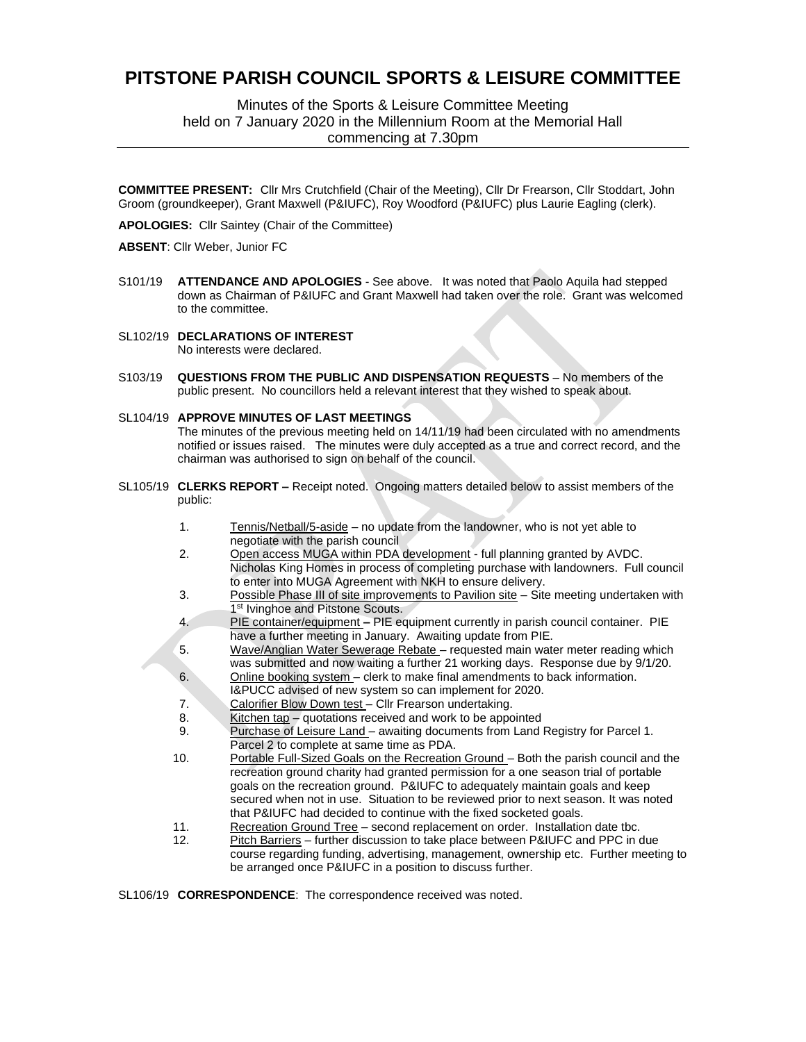# **PITSTONE PARISH COUNCIL SPORTS & LEISURE COMMITTEE**

Minutes of the Sports & Leisure Committee Meeting held on 7 January 2020 in the Millennium Room at the Memorial Hall commencing at 7.30pm

**COMMITTEE PRESENT:** Cllr Mrs Crutchfield (Chair of the Meeting), Cllr Dr Frearson, Cllr Stoddart, John Groom (groundkeeper), Grant Maxwell (P&IUFC), Roy Woodford (P&IUFC) plus Laurie Eagling (clerk).

**APOLOGIES:** Cllr Saintey (Chair of the Committee)

**ABSENT**: Cllr Weber, Junior FC

- S101/19 **ATTENDANCE AND APOLOGIES**  See above. It was noted that Paolo Aquila had stepped down as Chairman of P&IUFC and Grant Maxwell had taken over the role. Grant was welcomed to the committee.
- SL102/19 **DECLARATIONS OF INTEREST** No interests were declared.
- S103/19 **QUESTIONS FROM THE PUBLIC AND DISPENSATION REQUESTS** No members of the public present. No councillors held a relevant interest that they wished to speak about.
- SL104/19 **APPROVE MINUTES OF LAST MEETINGS** The minutes of the previous meeting held on 14/11/19 had been circulated with no amendments

notified or issues raised. The minutes were duly accepted as a true and correct record, and the chairman was authorised to sign on behalf of the council.

- SL105/19 **CLERKS REPORT –** Receipt noted. Ongoing matters detailed below to assist members of the public:
	- 1. Tennis/Netball/5-aside no update from the landowner, who is not yet able to negotiate with the parish council
	- 2. Open access MUGA within PDA development full planning granted by AVDC. Nicholas King Homes in process of completing purchase with landowners. Full council to enter into MUGA Agreement with NKH to ensure delivery.
	- 3. Possible Phase III of site improvements to Pavilion site Site meeting undertaken with 1<sup>st</sup> Ivinghoe and Pitstone Scouts.
	- 4. PIE container/equipment **–** PIE equipment currently in parish council container. PIE have a further meeting in January. Awaiting update from PIE.
	- 5. Wave/Anglian Water Sewerage Rebate requested main water meter reading which was submitted and now waiting a further 21 working days. Response due by 9/1/20.
	- 6. Online booking system clerk to make final amendments to back information. I&PUCC advised of new system so can implement for 2020.
	- 7. Calorifier Blow Down test Cllr Frearson undertaking.
	- 8. Kitchen tap quotations received and work to be appointed
	- 9. Purchase of Leisure Land awaiting documents from Land Registry for Parcel 1. Parcel 2 to complete at same time as PDA.
	- 10. Portable Full-Sized Goals on the Recreation Ground Both the parish council and the recreation ground charity had granted permission for a one season trial of portable goals on the recreation ground. P&IUFC to adequately maintain goals and keep secured when not in use. Situation to be reviewed prior to next season. It was noted that P&IUFC had decided to continue with the fixed socketed goals.
	- 11. Recreation Ground Tree second replacement on order. Installation date tbc.
	- 12. Pitch Barriers further discussion to take place between P&IUFC and PPC in due course regarding funding, advertising, management, ownership etc. Further meeting to be arranged once P&IUFC in a position to discuss further.

SL106/19 **CORRESPONDENCE**: The correspondence received was noted.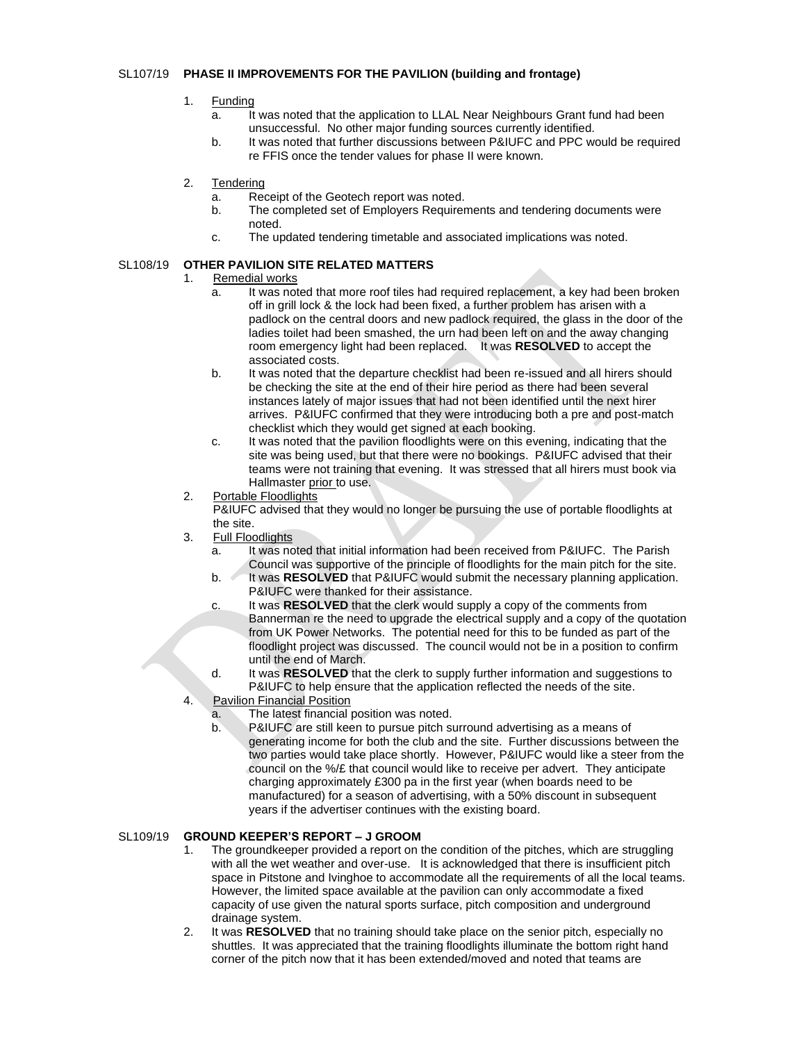#### SL107/19 **PHASE II IMPROVEMENTS FOR THE PAVILION (building and frontage)**

- 1. Funding
	- a. It was noted that the application to LLAL Near Neighbours Grant fund had been unsuccessful. No other major funding sources currently identified.
	- b. It was noted that further discussions between P&IUFC and PPC would be required re FFIS once the tender values for phase II were known.
- 2. Tendering
	- a. Receipt of the Geotech report was noted.
	- b. The completed set of Employers Requirements and tendering documents were noted.
	- c. The updated tendering timetable and associated implications was noted.

#### SL108/19 **OTHER PAVILION SITE RELATED MATTERS**

- 1. Remedial works
	- a. It was noted that more roof tiles had required replacement, a key had been broken off in grill lock & the lock had been fixed, a further problem has arisen with a padlock on the central doors and new padlock required, the glass in the door of the ladies toilet had been smashed, the urn had been left on and the away changing room emergency light had been replaced. It was **RESOLVED** to accept the associated costs.
	- b. It was noted that the departure checklist had been re-issued and all hirers should be checking the site at the end of their hire period as there had been several instances lately of major issues that had not been identified until the next hirer arrives. P&IUFC confirmed that they were introducing both a pre and post-match checklist which they would get signed at each booking.
	- c. It was noted that the pavilion floodlights were on this evening, indicating that the site was being used, but that there were no bookings. P&IUFC advised that their teams were not training that evening. It was stressed that all hirers must book via Hallmaster prior to use.
- 2. Portable Floodlights

P&IUFC advised that they would no longer be pursuing the use of portable floodlights at the site.

- 3. Full Floodlights
	- a. It was noted that initial information had been received from P&IUFC. The Parish Council was supportive of the principle of floodlights for the main pitch for the site.
	- b. **It was RESOLVED** that P&IUFC would submit the necessary planning application. P&IUFC were thanked for their assistance.
	- c. It was **RESOLVED** that the clerk would supply a copy of the comments from Bannerman re the need to upgrade the electrical supply and a copy of the quotation from UK Power Networks. The potential need for this to be funded as part of the floodlight project was discussed. The council would not be in a position to confirm until the end of March.
	- d. It was **RESOLVED** that the clerk to supply further information and suggestions to P&IUFC to help ensure that the application reflected the needs of the site.
- 4. Pavilion Financial Position
	- a. The latest financial position was noted.
	- b. P&IUFC are still keen to pursue pitch surround advertising as a means of generating income for both the club and the site. Further discussions between the two parties would take place shortly. However, P&IUFC would like a steer from the council on the %/£ that council would like to receive per advert. They anticipate charging approximately £300 pa in the first year (when boards need to be manufactured) for a season of advertising, with a 50% discount in subsequent years if the advertiser continues with the existing board.

#### SL109/19 **GROUND KEEPER'S REPORT – J GROOM**

- 1. The groundkeeper provided a report on the condition of the pitches, which are struggling with all the wet weather and over-use. It is acknowledged that there is insufficient pitch space in Pitstone and Ivinghoe to accommodate all the requirements of all the local teams. However, the limited space available at the pavilion can only accommodate a fixed capacity of use given the natural sports surface, pitch composition and underground drainage system.
- 2. It was **RESOLVED** that no training should take place on the senior pitch, especially no shuttles. It was appreciated that the training floodlights illuminate the bottom right hand corner of the pitch now that it has been extended/moved and noted that teams are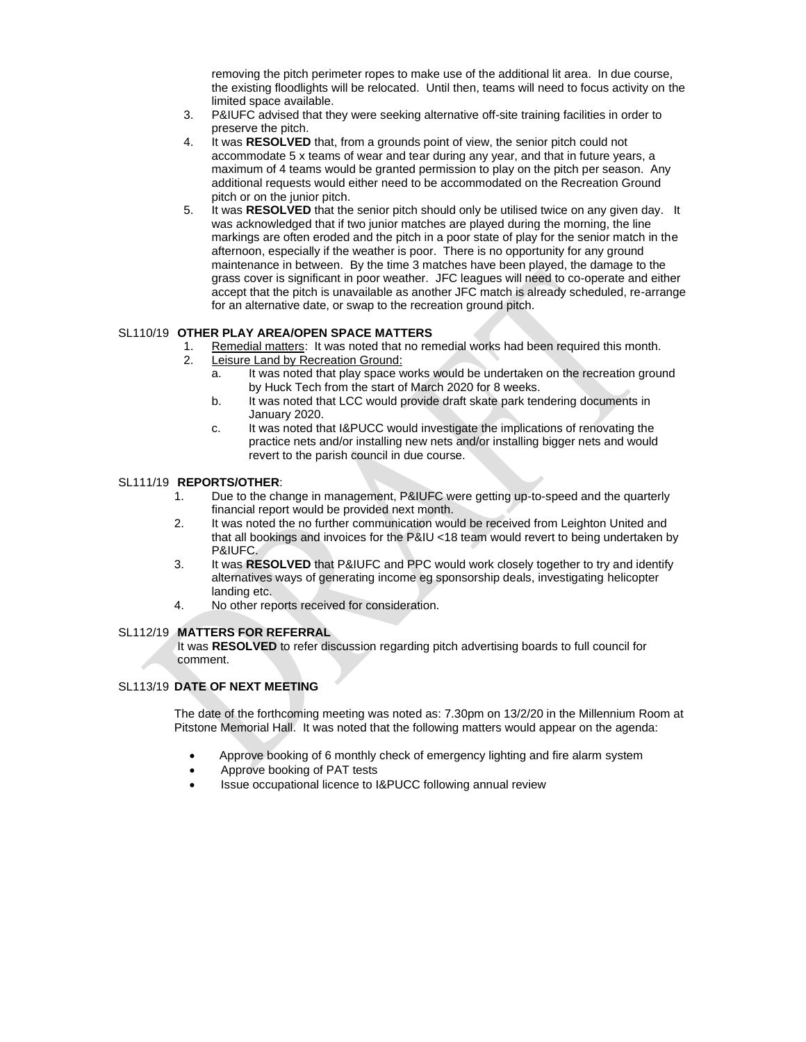removing the pitch perimeter ropes to make use of the additional lit area. In due course, the existing floodlights will be relocated. Until then, teams will need to focus activity on the limited space available.

- 3. P&IUFC advised that they were seeking alternative off-site training facilities in order to preserve the pitch.
- 4. It was **RESOLVED** that, from a grounds point of view, the senior pitch could not accommodate 5 x teams of wear and tear during any year, and that in future years, a maximum of 4 teams would be granted permission to play on the pitch per season. Any additional requests would either need to be accommodated on the Recreation Ground pitch or on the junior pitch.
- 5. It was **RESOLVED** that the senior pitch should only be utilised twice on any given day. It was acknowledged that if two junior matches are played during the morning, the line markings are often eroded and the pitch in a poor state of play for the senior match in the afternoon, especially if the weather is poor. There is no opportunity for any ground maintenance in between. By the time 3 matches have been played, the damage to the grass cover is significant in poor weather. JFC leagues will need to co-operate and either accept that the pitch is unavailable as another JFC match is already scheduled, re-arrange for an alternative date, or swap to the recreation ground pitch.

#### SL110/19 **OTHER PLAY AREA/OPEN SPACE MATTERS**

- 1. Remedial matters: It was noted that no remedial works had been required this month.
- 2. Leisure Land by Recreation Ground:
	- a. It was noted that play space works would be undertaken on the recreation ground by Huck Tech from the start of March 2020 for 8 weeks.
	- b. It was noted that LCC would provide draft skate park tendering documents in January 2020.
	- c. It was noted that I&PUCC would investigate the implications of renovating the practice nets and/or installing new nets and/or installing bigger nets and would revert to the parish council in due course.

#### SL111/19 **REPORTS/OTHER**:

- 1. Due to the change in management, P&IUFC were getting up-to-speed and the quarterly financial report would be provided next month.
- 2. It was noted the no further communication would be received from Leighton United and that all bookings and invoices for the P&IU <18 team would revert to being undertaken by P&IUFC.
- 3. It was **RESOLVED** that P&IUFC and PPC would work closely together to try and identify alternatives ways of generating income eg sponsorship deals, investigating helicopter landing etc.
- 4. No other reports received for consideration.

#### SL112/19 **MATTERS FOR REFERRAL**

It was **RESOLVED** to refer discussion regarding pitch advertising boards to full council for comment.

### SL113/19 **DATE OF NEXT MEETING**

The date of the forthcoming meeting was noted as: 7.30pm on 13/2/20 in the Millennium Room at Pitstone Memorial Hall. It was noted that the following matters would appear on the agenda:

- Approve booking of 6 monthly check of emergency lighting and fire alarm system
- Approve booking of PAT tests
- Issue occupational licence to I&PUCC following annual review